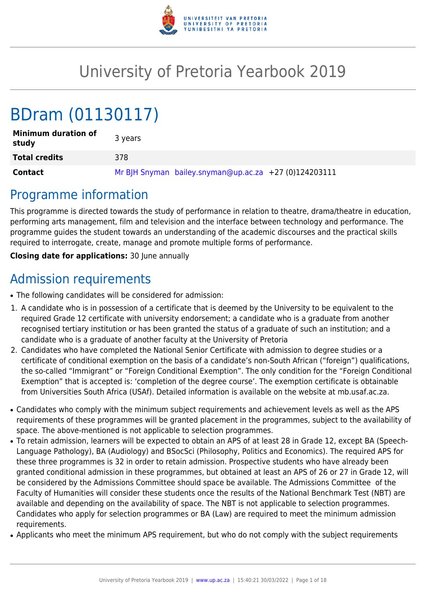

# University of Pretoria Yearbook 2019

# BDram (01130117)

| <b>Minimum duration of</b><br>study | 3 years                                               |
|-------------------------------------|-------------------------------------------------------|
| <b>Total credits</b>                | 378                                                   |
| <b>Contact</b>                      | Mr BJH Snyman bailey.snyman@up.ac.za +27 (0)124203111 |

# Programme information

This programme is directed towards the study of performance in relation to theatre, drama/theatre in education, performing arts management, film and television and the interface between technology and performance. The programme guides the student towards an understanding of the academic discourses and the practical skills required to interrogate, create, manage and promote multiple forms of performance.

**Closing date for applications:** 30 June annually

# Admission requirements

- The following candidates will be considered for admission:
- 1. A candidate who is in possession of a certificate that is deemed by the University to be equivalent to the required Grade 12 certificate with university endorsement; a candidate who is a graduate from another recognised tertiary institution or has been granted the status of a graduate of such an institution; and a candidate who is a graduate of another faculty at the University of Pretoria
- 2. Candidates who have completed the National Senior Certificate with admission to degree studies or a certificate of conditional exemption on the basis of a candidate's non-South African ("foreign") qualifications, the so-called "Immigrant" or "Foreign Conditional Exemption". The only condition for the "Foreign Conditional Exemption" that is accepted is: 'completion of the degree course'. The exemption certificate is obtainable from Universities South Africa (USAf). Detailed information is available on the website at mb.usaf.ac.za.
- Candidates who comply with the minimum subject requirements and achievement levels as well as the APS requirements of these programmes will be granted placement in the programmes, subject to the availability of space. The above-mentioned is not applicable to selection programmes.
- To retain admission, learners will be expected to obtain an APS of at least 28 in Grade 12, except BA (Speech-Language Pathology), BA (Audiology) and BSocSci (Philosophy, Politics and Economics). The required APS for these three programmes is 32 in order to retain admission. Prospective students who have already been granted conditional admission in these programmes, but obtained at least an APS of 26 or 27 in Grade 12, will be considered by the Admissions Committee should space be available. The Admissions Committee of the Faculty of Humanities will consider these students once the results of the National Benchmark Test (NBT) are available and depending on the availability of space. The NBT is not applicable to selection programmes. Candidates who apply for selection programmes or BA (Law) are required to meet the minimum admission requirements.
- Applicants who meet the minimum APS requirement, but who do not comply with the subject requirements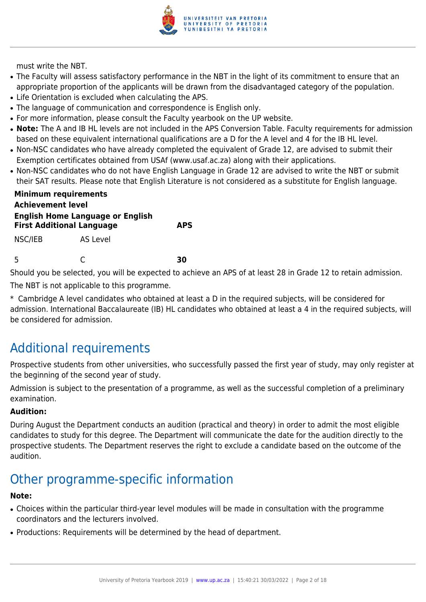

must write the NBT.

- The Faculty will assess satisfactory performance in the NBT in the light of its commitment to ensure that an appropriate proportion of the applicants will be drawn from the disadvantaged category of the population.
- Life Orientation is excluded when calculating the APS.
- The language of communication and correspondence is English only.
- For more information, please consult the Faculty yearbook on the UP website.
- Note: The A and IB HL levels are not included in the APS Conversion Table. Faculty requirements for admission based on these equivalent international qualifications are a D for the A level and 4 for the IB HL level.
- Non-NSC candidates who have already completed the equivalent of Grade 12, are advised to submit their Exemption certificates obtained from USAf (www.usaf.ac.za) along with their applications.
- Non-NSC candidates who do not have English Language in Grade 12 are advised to write the NBT or submit their SAT results. Please note that English Literature is not considered as a substitute for English language.

| <b>Minimum requirements</b><br><b>Achievement level</b><br><b>English Home Language or English</b> |          |      |
|----------------------------------------------------------------------------------------------------|----------|------|
| <b>First Additional Language</b>                                                                   |          | ΔPS. |
| NSC/IEB                                                                                            | AS Level |      |
| 5                                                                                                  |          | RЛ   |

Should you be selected, you will be expected to achieve an APS of at least 28 in Grade 12 to retain admission.

The NBT is not applicable to this programme.

\* Cambridge A level candidates who obtained at least a D in the required subjects, will be considered for admission. International Baccalaureate (IB) HL candidates who obtained at least a 4 in the required subjects, will be considered for admission.

# Additional requirements

Prospective students from other universities, who successfully passed the first year of study, may only register at the beginning of the second year of study.

Admission is subject to the presentation of a programme, as well as the successful completion of a preliminary examination.

# **Audition:**

During August the Department conducts an audition (practical and theory) in order to admit the most eligible candidates to study for this degree. The Department will communicate the date for the audition directly to the prospective students. The Department reserves the right to exclude a candidate based on the outcome of the audition.

# Other programme-specific information

# **Note:**

- Choices within the particular third-year level modules will be made in consultation with the programme coordinators and the lecturers involved.
- Productions: Requirements will be determined by the head of department.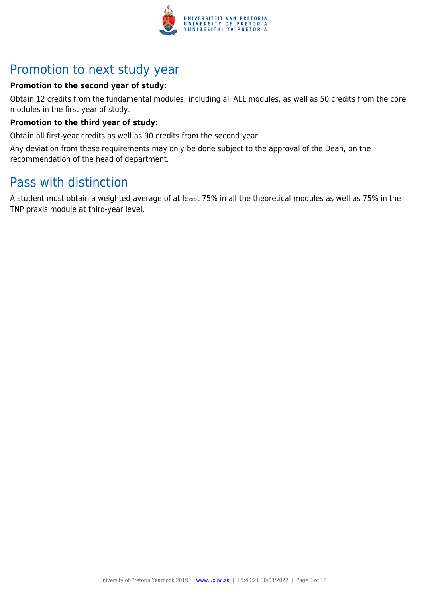

# Promotion to next study year

# **Promotion to the second year of study:**

Obtain 12 credits from the fundamental modules, including all ALL modules, as well as 50 credits from the core modules in the first year of study.

# **Promotion to the third year of study:**

Obtain all first-year credits as well as 90 credits from the second year.

Any deviation from these requirements may only be done subject to the approval of the Dean, on the recommendation of the head of department.

# Pass with distinction

A student must obtain a weighted average of at least 75% in all the theoretical modules as well as 75% in the TNP praxis module at third-year level.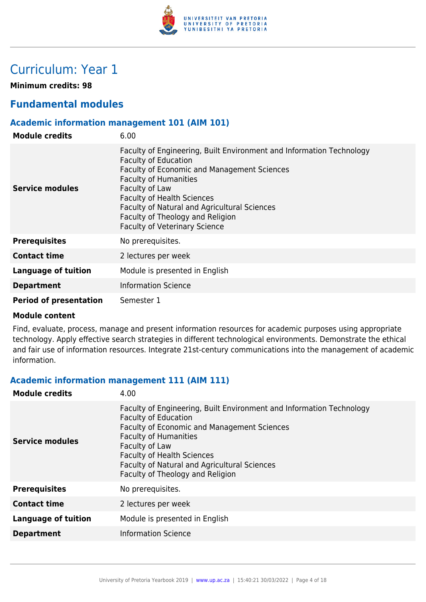

# Curriculum: Year 1

**Minimum credits: 98**

# **Fundamental modules**

# **Academic information management 101 (AIM 101)**

| <b>Module credits</b>         | 6.00                                                                                                                                                                                                                                                                                                                                                                  |
|-------------------------------|-----------------------------------------------------------------------------------------------------------------------------------------------------------------------------------------------------------------------------------------------------------------------------------------------------------------------------------------------------------------------|
| <b>Service modules</b>        | Faculty of Engineering, Built Environment and Information Technology<br><b>Faculty of Education</b><br>Faculty of Economic and Management Sciences<br><b>Faculty of Humanities</b><br>Faculty of Law<br><b>Faculty of Health Sciences</b><br>Faculty of Natural and Agricultural Sciences<br>Faculty of Theology and Religion<br><b>Faculty of Veterinary Science</b> |
| <b>Prerequisites</b>          | No prerequisites.                                                                                                                                                                                                                                                                                                                                                     |
| <b>Contact time</b>           | 2 lectures per week                                                                                                                                                                                                                                                                                                                                                   |
| Language of tuition           | Module is presented in English                                                                                                                                                                                                                                                                                                                                        |
| <b>Department</b>             | <b>Information Science</b>                                                                                                                                                                                                                                                                                                                                            |
| <b>Period of presentation</b> | Semester 1                                                                                                                                                                                                                                                                                                                                                            |

### **Module content**

Find, evaluate, process, manage and present information resources for academic purposes using appropriate technology. Apply effective search strategies in different technological environments. Demonstrate the ethical and fair use of information resources. Integrate 21st-century communications into the management of academic information.

### **Academic information management 111 (AIM 111)**

| <b>Module credits</b>      | 4.00                                                                                                                                                                                                                                                                                                                                 |
|----------------------------|--------------------------------------------------------------------------------------------------------------------------------------------------------------------------------------------------------------------------------------------------------------------------------------------------------------------------------------|
| Service modules            | Faculty of Engineering, Built Environment and Information Technology<br><b>Faculty of Education</b><br><b>Faculty of Economic and Management Sciences</b><br><b>Faculty of Humanities</b><br>Faculty of Law<br><b>Faculty of Health Sciences</b><br>Faculty of Natural and Agricultural Sciences<br>Faculty of Theology and Religion |
| <b>Prerequisites</b>       | No prerequisites.                                                                                                                                                                                                                                                                                                                    |
| <b>Contact time</b>        | 2 lectures per week                                                                                                                                                                                                                                                                                                                  |
| <b>Language of tuition</b> | Module is presented in English                                                                                                                                                                                                                                                                                                       |
| <b>Department</b>          | <b>Information Science</b>                                                                                                                                                                                                                                                                                                           |
|                            |                                                                                                                                                                                                                                                                                                                                      |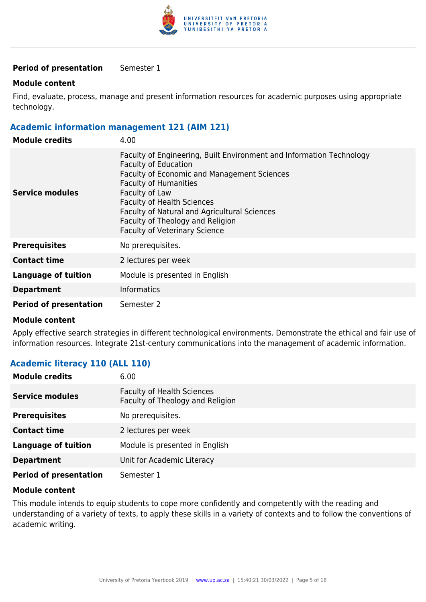

### **Period of presentation** Semester 1

### **Module content**

Find, evaluate, process, manage and present information resources for academic purposes using appropriate technology.

### **Academic information management 121 (AIM 121)**

| <b>Module credits</b>         | 4.00                                                                                                                                                                                                                                                                                                                                                                                |
|-------------------------------|-------------------------------------------------------------------------------------------------------------------------------------------------------------------------------------------------------------------------------------------------------------------------------------------------------------------------------------------------------------------------------------|
| Service modules               | Faculty of Engineering, Built Environment and Information Technology<br><b>Faculty of Education</b><br><b>Faculty of Economic and Management Sciences</b><br><b>Faculty of Humanities</b><br>Faculty of Law<br><b>Faculty of Health Sciences</b><br><b>Faculty of Natural and Agricultural Sciences</b><br>Faculty of Theology and Religion<br><b>Faculty of Veterinary Science</b> |
| <b>Prerequisites</b>          | No prerequisites.                                                                                                                                                                                                                                                                                                                                                                   |
| <b>Contact time</b>           | 2 lectures per week                                                                                                                                                                                                                                                                                                                                                                 |
| <b>Language of tuition</b>    | Module is presented in English                                                                                                                                                                                                                                                                                                                                                      |
| <b>Department</b>             | <b>Informatics</b>                                                                                                                                                                                                                                                                                                                                                                  |
| <b>Period of presentation</b> | Semester 2                                                                                                                                                                                                                                                                                                                                                                          |

### **Module content**

Apply effective search strategies in different technological environments. Demonstrate the ethical and fair use of information resources. Integrate 21st-century communications into the management of academic information.

# **Academic literacy 110 (ALL 110)**

| <b>Module credits</b>         | 6.00                                                                  |
|-------------------------------|-----------------------------------------------------------------------|
| <b>Service modules</b>        | <b>Faculty of Health Sciences</b><br>Faculty of Theology and Religion |
| <b>Prerequisites</b>          | No prerequisites.                                                     |
| <b>Contact time</b>           | 2 lectures per week                                                   |
| Language of tuition           | Module is presented in English                                        |
| <b>Department</b>             | Unit for Academic Literacy                                            |
| <b>Period of presentation</b> | Semester 1                                                            |

### **Module content**

This module intends to equip students to cope more confidently and competently with the reading and understanding of a variety of texts, to apply these skills in a variety of contexts and to follow the conventions of academic writing.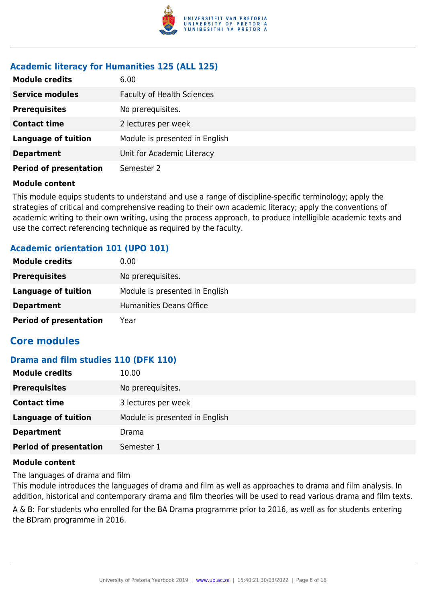

# **Academic literacy for Humanities 125 (ALL 125)**

| <b>Module credits</b>         | 6.00                              |
|-------------------------------|-----------------------------------|
| <b>Service modules</b>        | <b>Faculty of Health Sciences</b> |
| <b>Prerequisites</b>          | No prerequisites.                 |
| <b>Contact time</b>           | 2 lectures per week               |
| <b>Language of tuition</b>    | Module is presented in English    |
| <b>Department</b>             | Unit for Academic Literacy        |
| <b>Period of presentation</b> | Semester 2                        |

### **Module content**

This module equips students to understand and use a range of discipline-specific terminology; apply the strategies of critical and comprehensive reading to their own academic literacy; apply the conventions of academic writing to their own writing, using the process approach, to produce intelligible academic texts and use the correct referencing technique as required by the faculty.

# **Academic orientation 101 (UPO 101)**

| <b>Module credits</b>         | 0.00                           |
|-------------------------------|--------------------------------|
| <b>Prerequisites</b>          | No prerequisites.              |
| Language of tuition           | Module is presented in English |
| <b>Department</b>             | <b>Humanities Deans Office</b> |
| <b>Period of presentation</b> | Year                           |

# **Core modules**

### **Drama and film studies 110 (DFK 110)**

| <b>Module credits</b>         | 10.00                          |
|-------------------------------|--------------------------------|
| <b>Prerequisites</b>          | No prerequisites.              |
| <b>Contact time</b>           | 3 lectures per week            |
| <b>Language of tuition</b>    | Module is presented in English |
| <b>Department</b>             | Drama                          |
| <b>Period of presentation</b> | Semester 1                     |

### **Module content**

The languages of drama and film

This module introduces the languages of drama and film as well as approaches to drama and film analysis. In addition, historical and contemporary drama and film theories will be used to read various drama and film texts.

A & B: For students who enrolled for the BA Drama programme prior to 2016, as well as for students entering the BDram programme in 2016.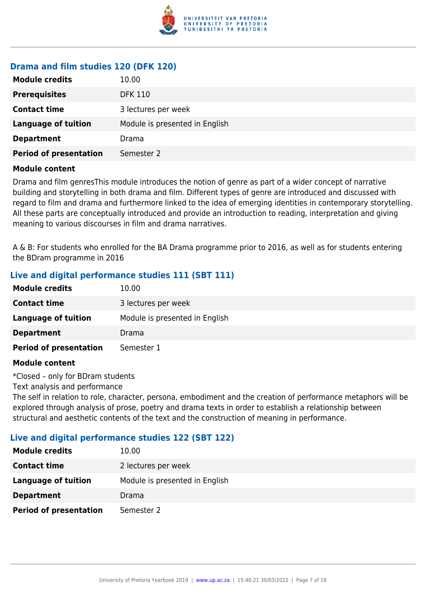

# **Drama and film studies 120 (DFK 120)**

| <b>Module credits</b>         | 10.00                          |
|-------------------------------|--------------------------------|
| <b>Prerequisites</b>          | <b>DFK 110</b>                 |
| <b>Contact time</b>           | 3 lectures per week            |
| <b>Language of tuition</b>    | Module is presented in English |
| <b>Department</b>             | Drama                          |
| <b>Period of presentation</b> | Semester 2                     |

### **Module content**

Drama and film genresThis module introduces the notion of genre as part of a wider concept of narrative building and storytelling in both drama and film. Different types of genre are introduced and discussed with regard to film and drama and furthermore linked to the idea of emerging identities in contemporary storytelling. All these parts are conceptually introduced and provide an introduction to reading, interpretation and giving meaning to various discourses in film and drama narratives.

A & B: For students who enrolled for the BA Drama programme prior to 2016, as well as for students entering the BDram programme in 2016

# **Live and digital performance studies 111 (SBT 111)**

| <b>Module credits</b>         | 10.00                          |
|-------------------------------|--------------------------------|
| <b>Contact time</b>           | 3 lectures per week            |
| <b>Language of tuition</b>    | Module is presented in English |
| <b>Department</b>             | Drama                          |
| <b>Period of presentation</b> | Semester 1                     |

### **Module content**

\*Closed – only for BDram students

Text analysis and performance

The self in relation to role, character, persona, embodiment and the creation of performance metaphors will be explored through analysis of prose, poetry and drama texts in order to establish a relationship between structural and aesthetic contents of the text and the construction of meaning in performance.

### **Live and digital performance studies 122 (SBT 122)**

| <b>Module credits</b>         | 10.00                          |
|-------------------------------|--------------------------------|
| <b>Contact time</b>           | 2 lectures per week            |
| Language of tuition           | Module is presented in English |
| <b>Department</b>             | Drama                          |
| <b>Period of presentation</b> | Semester 2                     |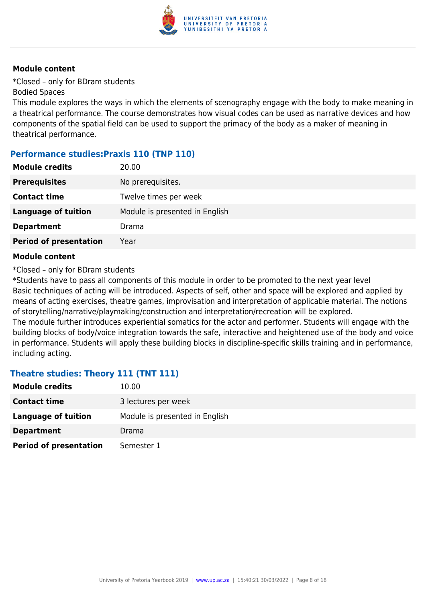

\*Closed – only for BDram students Bodied Spaces

This module explores the ways in which the elements of scenography engage with the body to make meaning in a theatrical performance. The course demonstrates how visual codes can be used as narrative devices and how components of the spatial field can be used to support the primacy of the body as a maker of meaning in theatrical performance.

# **Performance studies:Praxis 110 (TNP 110)**

| <b>Module credits</b>         | 20.00                          |
|-------------------------------|--------------------------------|
| <b>Prerequisites</b>          | No prerequisites.              |
| <b>Contact time</b>           | Twelve times per week          |
| <b>Language of tuition</b>    | Module is presented in English |
| <b>Department</b>             | Drama                          |
| <b>Period of presentation</b> | Year                           |

### **Module content**

\*Closed – only for BDram students

\*Students have to pass all components of this module in order to be promoted to the next year level Basic techniques of acting will be introduced. Aspects of self, other and space will be explored and applied by means of acting exercises, theatre games, improvisation and interpretation of applicable material. The notions of storytelling/narrative/playmaking/construction and interpretation/recreation will be explored. The module further introduces experiential somatics for the actor and performer. Students will engage with the

building blocks of body/voice integration towards the safe, interactive and heightened use of the body and voice in performance. Students will apply these building blocks in discipline-specific skills training and in performance, including acting.

### **Theatre studies: Theory 111 (TNT 111)**

| <b>Module credits</b>         | 10.00                          |
|-------------------------------|--------------------------------|
| <b>Contact time</b>           | 3 lectures per week            |
| Language of tuition           | Module is presented in English |
| <b>Department</b>             | Drama                          |
| <b>Period of presentation</b> | Semester 1                     |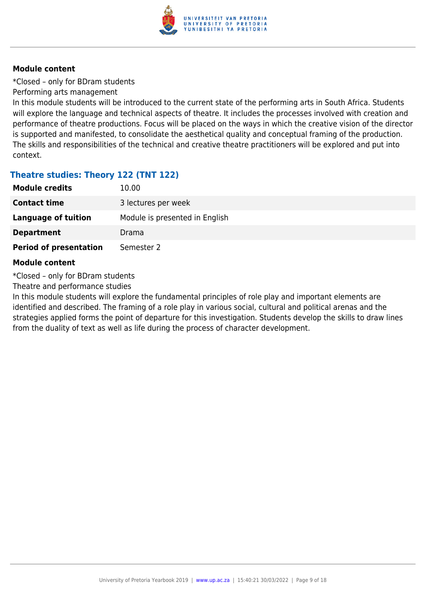

\*Closed – only for BDram students

Performing arts management

In this module students will be introduced to the current state of the performing arts in South Africa. Students will explore the language and technical aspects of theatre. It includes the processes involved with creation and performance of theatre productions. Focus will be placed on the ways in which the creative vision of the director is supported and manifested, to consolidate the aesthetical quality and conceptual framing of the production. The skills and responsibilities of the technical and creative theatre practitioners will be explored and put into context.

# **Theatre studies: Theory 122 (TNT 122)**

| <b>Module credits</b>         | 10.00                          |
|-------------------------------|--------------------------------|
| <b>Contact time</b>           | 3 lectures per week            |
| Language of tuition           | Module is presented in English |
| <b>Department</b>             | Drama                          |
| <b>Period of presentation</b> | Semester 2                     |

### **Module content**

\*Closed – only for BDram students

Theatre and performance studies

In this module students will explore the fundamental principles of role play and important elements are identified and described. The framing of a role play in various social, cultural and political arenas and the strategies applied forms the point of departure for this investigation. Students develop the skills to draw lines from the duality of text as well as life during the process of character development.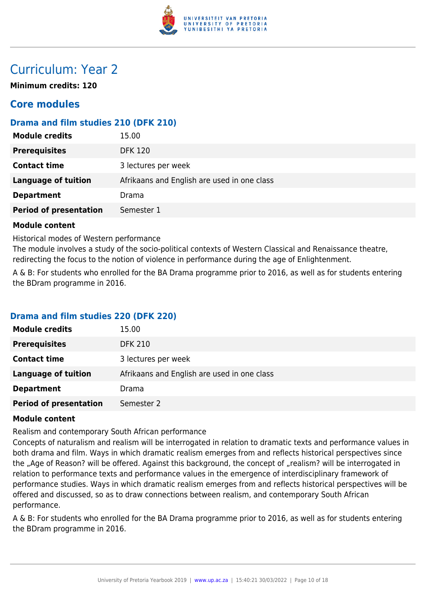

# Curriculum: Year 2

**Minimum credits: 120**

# **Core modules**

# **Drama and film studies 210 (DFK 210)**

| <b>Prerequisites</b><br><b>DFK 120</b>                                    |  |
|---------------------------------------------------------------------------|--|
| <b>Contact time</b><br>3 lectures per week                                |  |
| <b>Language of tuition</b><br>Afrikaans and English are used in one class |  |
| <b>Department</b><br>Drama                                                |  |
| <b>Period of presentation</b><br>Semester 1                               |  |

### **Module content**

Historical modes of Western performance

The module involves a study of the socio-political contexts of Western Classical and Renaissance theatre, redirecting the focus to the notion of violence in performance during the age of Enlightenment.

A & B: For students who enrolled for the BA Drama programme prior to 2016, as well as for students entering the BDram programme in 2016.

# **Drama and film studies 220 (DFK 220)**

| <b>Module credits</b>         | 15.00                                       |
|-------------------------------|---------------------------------------------|
| <b>Prerequisites</b>          | <b>DFK 210</b>                              |
| <b>Contact time</b>           | 3 lectures per week                         |
| Language of tuition           | Afrikaans and English are used in one class |
| <b>Department</b>             | Drama                                       |
| <b>Period of presentation</b> | Semester 2                                  |

### **Module content**

Realism and contemporary South African performance

Concepts of naturalism and realism will be interrogated in relation to dramatic texts and performance values in both drama and film. Ways in which dramatic realism emerges from and reflects historical perspectives since the "Age of Reason? will be offered. Against this background, the concept of "realism? will be interrogated in relation to performance texts and performance values in the emergence of interdisciplinary framework of performance studies. Ways in which dramatic realism emerges from and reflects historical perspectives will be offered and discussed, so as to draw connections between realism, and contemporary South African performance.

A & B: For students who enrolled for the BA Drama programme prior to 2016, as well as for students entering the BDram programme in 2016.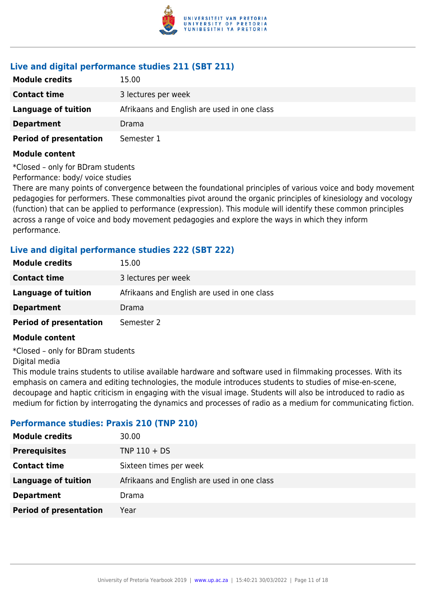

# **Live and digital performance studies 211 (SBT 211)**

| <b>Module credits</b>         | 15.00                                       |
|-------------------------------|---------------------------------------------|
| <b>Contact time</b>           | 3 lectures per week                         |
| Language of tuition           | Afrikaans and English are used in one class |
| <b>Department</b>             | Drama                                       |
| <b>Period of presentation</b> | Semester 1                                  |

### **Module content**

\*Closed – only for BDram students

Performance: body/ voice studies

There are many points of convergence between the foundational principles of various voice and body movement pedagogies for performers. These commonalties pivot around the organic principles of kinesiology and vocology (function) that can be applied to performance (expression). This module will identify these common principles across a range of voice and body movement pedagogies and explore the ways in which they inform performance.

# **Live and digital performance studies 222 (SBT 222)**

| <b>Module credits</b>         | 15.00                                       |
|-------------------------------|---------------------------------------------|
| <b>Contact time</b>           | 3 lectures per week                         |
| Language of tuition           | Afrikaans and English are used in one class |
| <b>Department</b>             | Drama                                       |
| <b>Period of presentation</b> | Semester 2                                  |

### **Module content**

\*Closed – only for BDram students

Digital media

This module trains students to utilise available hardware and software used in filmmaking processes. With its emphasis on camera and editing technologies, the module introduces students to studies of mise-en-scene, decoupage and haptic criticism in engaging with the visual image. Students will also be introduced to radio as medium for fiction by interrogating the dynamics and processes of radio as a medium for communicating fiction.

# **Performance studies: Praxis 210 (TNP 210)**

| <b>Module credits</b>         | 30.00                                       |
|-------------------------------|---------------------------------------------|
| <b>Prerequisites</b>          | $TNP 110 + DS$                              |
| <b>Contact time</b>           | Sixteen times per week                      |
| <b>Language of tuition</b>    | Afrikaans and English are used in one class |
| <b>Department</b>             | Drama                                       |
| <b>Period of presentation</b> | Year                                        |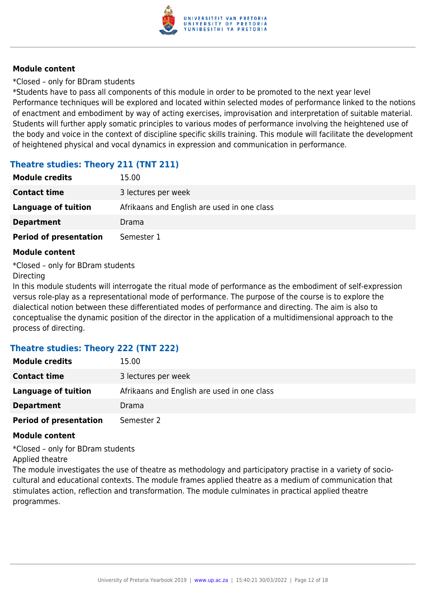

\*Closed – only for BDram students

\*Students have to pass all components of this module in order to be promoted to the next year level Performance techniques will be explored and located within selected modes of performance linked to the notions of enactment and embodiment by way of acting exercises, improvisation and interpretation of suitable material. Students will further apply somatic principles to various modes of performance involving the heightened use of the body and voice in the context of discipline specific skills training. This module will facilitate the development of heightened physical and vocal dynamics in expression and communication in performance.

# **Theatre studies: Theory 211 (TNT 211)**

| <b>Module credits</b>         | 15.00                                       |
|-------------------------------|---------------------------------------------|
| <b>Contact time</b>           | 3 lectures per week                         |
| Language of tuition           | Afrikaans and English are used in one class |
| <b>Department</b>             | Drama                                       |
| <b>Period of presentation</b> | Semester 1                                  |

# **Module content**

\*Closed – only for BDram students

### **Directing**

In this module students will interrogate the ritual mode of performance as the embodiment of self-expression versus role-play as a representational mode of performance. The purpose of the course is to explore the dialectical notion between these differentiated modes of performance and directing. The aim is also to conceptualise the dynamic position of the director in the application of a multidimensional approach to the process of directing.

# **Theatre studies: Theory 222 (TNT 222)**

| <b>Module credits</b>         | 15.00                                       |
|-------------------------------|---------------------------------------------|
| <b>Contact time</b>           | 3 lectures per week                         |
| Language of tuition           | Afrikaans and English are used in one class |
| <b>Department</b>             | Drama                                       |
| <b>Period of presentation</b> | Semester 2                                  |

### **Module content**

\*Closed – only for BDram students Applied theatre

The module investigates the use of theatre as methodology and participatory practise in a variety of sociocultural and educational contexts. The module frames applied theatre as a medium of communication that stimulates action, reflection and transformation. The module culminates in practical applied theatre programmes.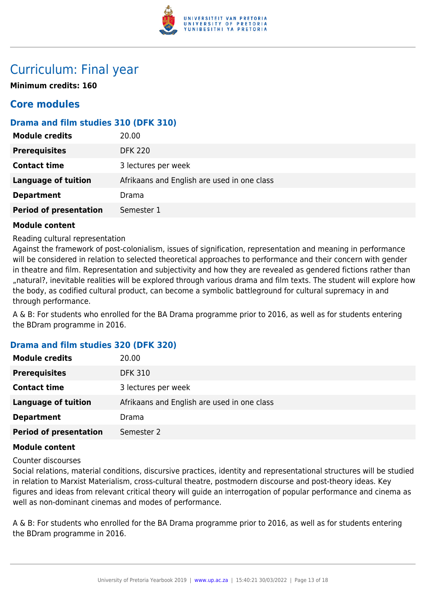

# Curriculum: Final year

**Minimum credits: 160**

# **Core modules**

# **Drama and film studies 310 (DFK 310)**

| <b>Module credits</b>         | 20.00                                       |
|-------------------------------|---------------------------------------------|
| <b>Prerequisites</b>          | <b>DFK 220</b>                              |
| <b>Contact time</b>           | 3 lectures per week                         |
| <b>Language of tuition</b>    | Afrikaans and English are used in one class |
| <b>Department</b>             | Drama                                       |
| <b>Period of presentation</b> | Semester 1                                  |

### **Module content**

Reading cultural representation

Against the framework of post-colonialism, issues of signification, representation and meaning in performance will be considered in relation to selected theoretical approaches to performance and their concern with gender in theatre and film. Representation and subjectivity and how they are revealed as gendered fictions rather than "natural?, inevitable realities will be explored through various drama and film texts. The student will explore how the body, as codified cultural product, can become a symbolic battleground for cultural supremacy in and through performance.

A & B: For students who enrolled for the BA Drama programme prior to 2016, as well as for students entering the BDram programme in 2016.

# **Drama and film studies 320 (DFK 320)**

| <b>Module credits</b>         | 20.00                                       |
|-------------------------------|---------------------------------------------|
| <b>Prerequisites</b>          | <b>DFK 310</b>                              |
| <b>Contact time</b>           | 3 lectures per week                         |
| <b>Language of tuition</b>    | Afrikaans and English are used in one class |
| <b>Department</b>             | Drama                                       |
| <b>Period of presentation</b> | Semester 2                                  |

### **Module content**

Counter discourses

Social relations, material conditions, discursive practices, identity and representational structures will be studied in relation to Marxist Materialism, cross-cultural theatre, postmodern discourse and post-theory ideas. Key figures and ideas from relevant critical theory will guide an interrogation of popular performance and cinema as well as non-dominant cinemas and modes of performance.

A & B: For students who enrolled for the BA Drama programme prior to 2016, as well as for students entering the BDram programme in 2016.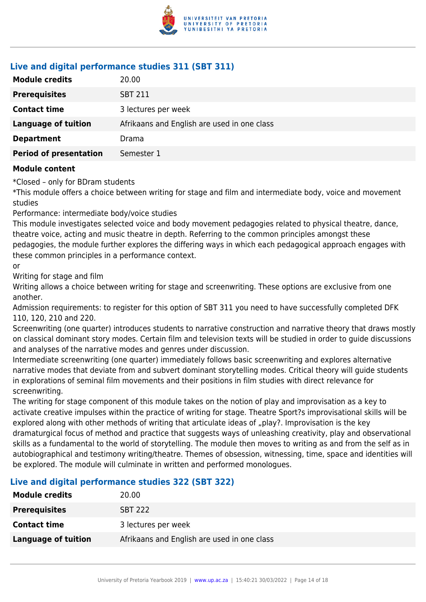

# **Live and digital performance studies 311 (SBT 311)**

| <b>Module credits</b>         | 20.00                                       |
|-------------------------------|---------------------------------------------|
| <b>Prerequisites</b>          | <b>SBT 211</b>                              |
| <b>Contact time</b>           | 3 lectures per week                         |
| <b>Language of tuition</b>    | Afrikaans and English are used in one class |
| <b>Department</b>             | Drama                                       |
| <b>Period of presentation</b> | Semester 1                                  |

### **Module content**

\*Closed – only for BDram students

\*This module offers a choice between writing for stage and film and intermediate body, voice and movement studies

Performance: intermediate body/voice studies

This module investigates selected voice and body movement pedagogies related to physical theatre, dance, theatre voice, acting and music theatre in depth. Referring to the common principles amongst these pedagogies, the module further explores the differing ways in which each pedagogical approach engages with these common principles in a performance context.

#### or

Writing for stage and film

Writing allows a choice between writing for stage and screenwriting. These options are exclusive from one another.

Admission requirements: to register for this option of SBT 311 you need to have successfully completed DFK 110, 120, 210 and 220.

Screenwriting (one quarter) introduces students to narrative construction and narrative theory that draws mostly on classical dominant story modes. Certain film and television texts will be studied in order to guide discussions and analyses of the narrative modes and genres under discussion.

Intermediate screenwriting (one quarter) immediately follows basic screenwriting and explores alternative narrative modes that deviate from and subvert dominant storytelling modes. Critical theory will guide students in explorations of seminal film movements and their positions in film studies with direct relevance for screenwriting.

The writing for stage component of this module takes on the notion of play and improvisation as a key to activate creative impulses within the practice of writing for stage. Theatre Sport?s improvisational skills will be explored along with other methods of writing that articulate ideas of "play?. Improvisation is the key dramaturgical focus of method and practice that suggests ways of unleashing creativity, play and observational skills as a fundamental to the world of storytelling. The module then moves to writing as and from the self as in autobiographical and testimony writing/theatre. Themes of obsession, witnessing, time, space and identities will be explored. The module will culminate in written and performed monologues.

# **Live and digital performance studies 322 (SBT 322)**

| <b>Module credits</b> | 20.00                                       |
|-----------------------|---------------------------------------------|
| <b>Prerequisites</b>  | <b>SBT 222</b>                              |
| <b>Contact time</b>   | 3 lectures per week                         |
| Language of tuition   | Afrikaans and English are used in one class |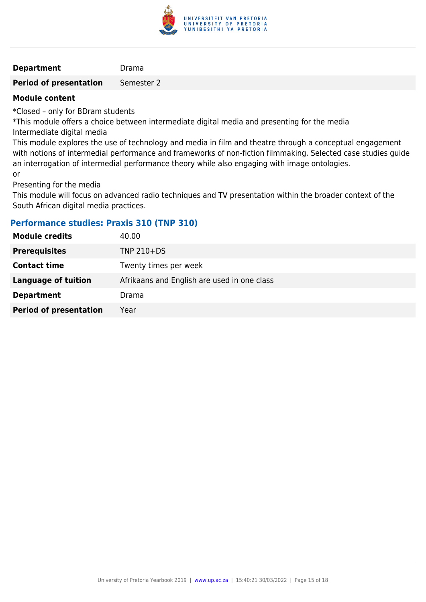

#### **Department** Drama

**Period of presentation** Semester 2

### **Module content**

\*Closed – only for BDram students

\*This module offers a choice between intermediate digital media and presenting for the media Intermediate digital media

This module explores the use of technology and media in film and theatre through a conceptual engagement with notions of intermedial performance and frameworks of non-fiction filmmaking. Selected case studies guide an interrogation of intermedial performance theory while also engaging with image ontologies. or

Presenting for the media

This module will focus on advanced radio techniques and TV presentation within the broader context of the South African digital media practices.

# **Performance studies: Praxis 310 (TNP 310)**

| <b>Module credits</b>         | 40.00                                       |
|-------------------------------|---------------------------------------------|
| <b>Prerequisites</b>          | TNP 210+DS                                  |
| <b>Contact time</b>           | Twenty times per week                       |
| <b>Language of tuition</b>    | Afrikaans and English are used in one class |
| <b>Department</b>             | Drama                                       |
| <b>Period of presentation</b> | Year                                        |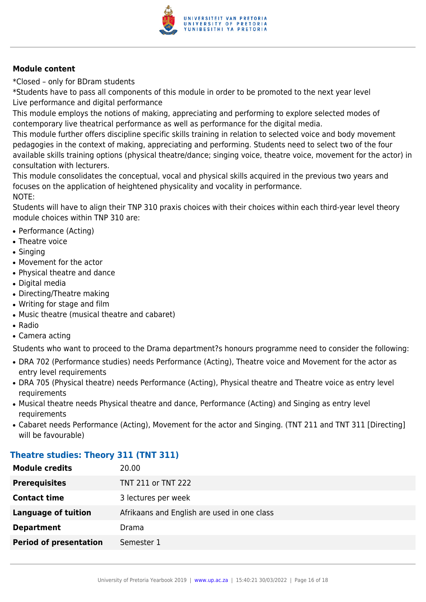

\*Closed – only for BDram students

\*Students have to pass all components of this module in order to be promoted to the next year level Live performance and digital performance

This module employs the notions of making, appreciating and performing to explore selected modes of contemporary live theatrical performance as well as performance for the digital media.

This module further offers discipline specific skills training in relation to selected voice and body movement pedagogies in the context of making, appreciating and performing. Students need to select two of the four available skills training options (physical theatre/dance; singing voice, theatre voice, movement for the actor) in consultation with lecturers.

This module consolidates the conceptual, vocal and physical skills acquired in the previous two years and focuses on the application of heightened physicality and vocality in performance. NOTE:

Students will have to align their TNP 310 praxis choices with their choices within each third-year level theory module choices within TNP 310 are:

- Performance (Acting)
- Theatre voice
- Singing
- Movement for the actor
- Physical theatre and dance
- Digital media
- Directing/Theatre making
- Writing for stage and film
- Music theatre (musical theatre and cabaret)
- Radio
- Camera acting

Students who want to proceed to the Drama department?s honours programme need to consider the following:

- DRA 702 (Performance studies) needs Performance (Acting), Theatre voice and Movement for the actor as entry level requirements
- DRA 705 (Physical theatre) needs Performance (Acting), Physical theatre and Theatre voice as entry level requirements
- Musical theatre needs Physical theatre and dance, Performance (Acting) and Singing as entry level requirements
- Cabaret needs Performance (Acting), Movement for the actor and Singing. (TNT 211 and TNT 311 [Directing] will be favourable)

# **Theatre studies: Theory 311 (TNT 311)**

| <b>Module credits</b>         | 20.00                                       |
|-------------------------------|---------------------------------------------|
| <b>Prerequisites</b>          | TNT 211 or TNT 222                          |
| <b>Contact time</b>           | 3 lectures per week                         |
| <b>Language of tuition</b>    | Afrikaans and English are used in one class |
| <b>Department</b>             | Drama                                       |
| <b>Period of presentation</b> | Semester 1                                  |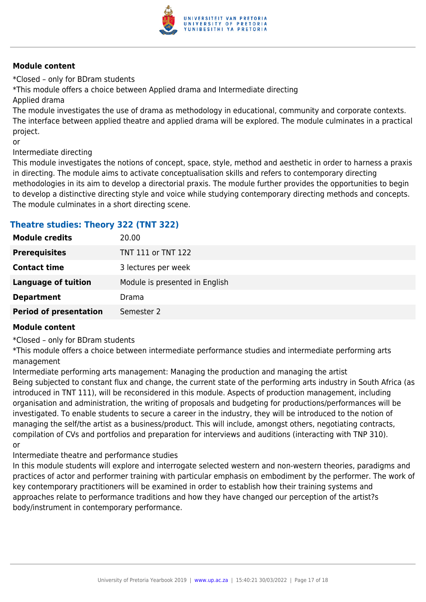

\*Closed – only for BDram students

\*This module offers a choice between Applied drama and Intermediate directing

Applied drama

The module investigates the use of drama as methodology in educational, community and corporate contexts. The interface between applied theatre and applied drama will be explored. The module culminates in a practical project.

or

Intermediate directing

This module investigates the notions of concept, space, style, method and aesthetic in order to harness a praxis in directing. The module aims to activate conceptualisation skills and refers to contemporary directing methodologies in its aim to develop a directorial praxis. The module further provides the opportunities to begin to develop a distinctive directing style and voice while studying contemporary directing methods and concepts. The module culminates in a short directing scene.

# **Theatre studies: Theory 322 (TNT 322)**

| <b>Module credits</b>         | 20.00                          |
|-------------------------------|--------------------------------|
| <b>Prerequisites</b>          | TNT 111 or TNT 122             |
| <b>Contact time</b>           | 3 lectures per week            |
| Language of tuition           | Module is presented in English |
| <b>Department</b>             | Drama                          |
| <b>Period of presentation</b> | Semester 2                     |

### **Module content**

\*Closed – only for BDram students

\*This module offers a choice between intermediate performance studies and intermediate performing arts management

Intermediate performing arts management: Managing the production and managing the artist Being subjected to constant flux and change, the current state of the performing arts industry in South Africa (as introduced in TNT 111), will be reconsidered in this module. Aspects of production management, including organisation and administration, the writing of proposals and budgeting for productions/performances will be investigated. To enable students to secure a career in the industry, they will be introduced to the notion of managing the self/the artist as a business/product. This will include, amongst others, negotiating contracts, compilation of CVs and portfolios and preparation for interviews and auditions (interacting with TNP 310). or

Intermediate theatre and performance studies

In this module students will explore and interrogate selected western and non-western theories, paradigms and practices of actor and performer training with particular emphasis on embodiment by the performer. The work of key contemporary practitioners will be examined in order to establish how their training systems and approaches relate to performance traditions and how they have changed our perception of the artist?s body/instrument in contemporary performance.